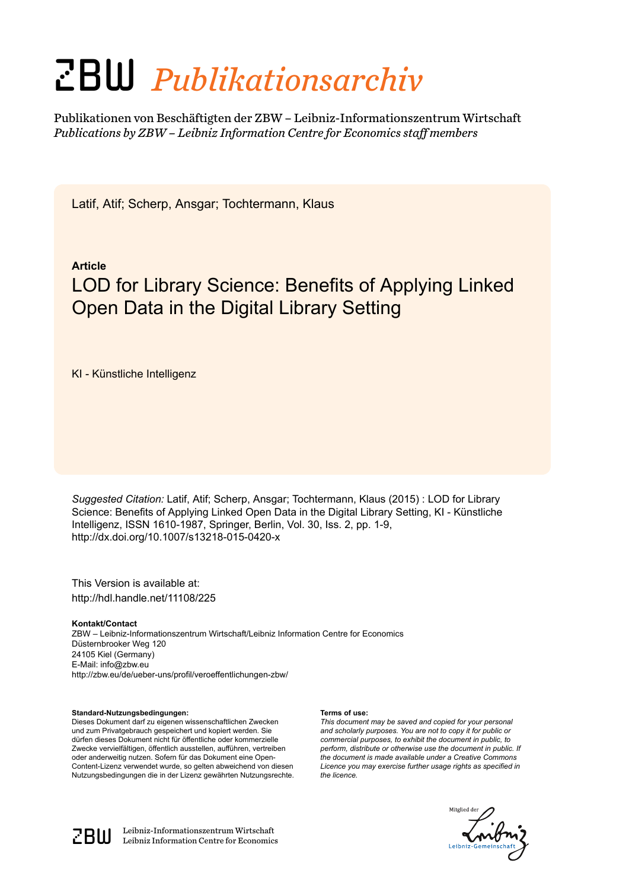# zbw *Publikationsarchiv*

Publikationen von Beschäftigten der ZBW – Leibniz-Informationszentrum Wirtschaft *Publications by ZBW – Leibniz Information Centre for Economics staff members*

Latif, Atif; Scherp, Ansgar; Tochtermann, Klaus

#### **Article**

## LOD for Library Science: Benefits of Applying Linked Open Data in the Digital Library Setting

KI - Künstliche Intelligenz

*Suggested Citation:* Latif, Atif; Scherp, Ansgar; Tochtermann, Klaus (2015) : LOD for Library Science: Benefits of Applying Linked Open Data in the Digital Library Setting, KI - Künstliche Intelligenz, ISSN 1610-1987, Springer, Berlin, Vol. 30, Iss. 2, pp. 1-9, http://dx.doi.org/10.1007/s13218-015-0420-x

This Version is available at: http://hdl.handle.net/11108/225

**Kontakt/Contact** ZBW – Leibniz-Informationszentrum Wirtschaft/Leibniz Information Centre for Economics Düsternbrooker Weg 120 24105 Kiel (Germany) E-Mail: info@zbw.eu http://zbw.eu/de/ueber-uns/profil/veroeffentlichungen-zbw/

#### **Standard-Nutzungsbedingungen:**

Dieses Dokument darf zu eigenen wissenschaftlichen Zwecken und zum Privatgebrauch gespeichert und kopiert werden. Sie dürfen dieses Dokument nicht für öffentliche oder kommerzielle Zwecke vervielfältigen, öffentlich ausstellen, aufführen, vertreiben oder anderweitig nutzen. Sofern für das Dokument eine Open-Content-Lizenz verwendet wurde, so gelten abweichend von diesen Nutzungsbedingungen die in der Lizenz gewährten Nutzungsrechte.

#### **Terms of use:**

*This document may be saved and copied for your personal and scholarly purposes. You are not to copy it for public or commercial purposes, to exhibit the document in public, to perform, distribute or otherwise use the document in public. If the document is made available under a Creative Commons Licence you may exercise further usage rights as specified in the licence.*





 $\mathbb{Z} \text{B} \text{U}$  Leibniz-Informationszentrum Wirtschaft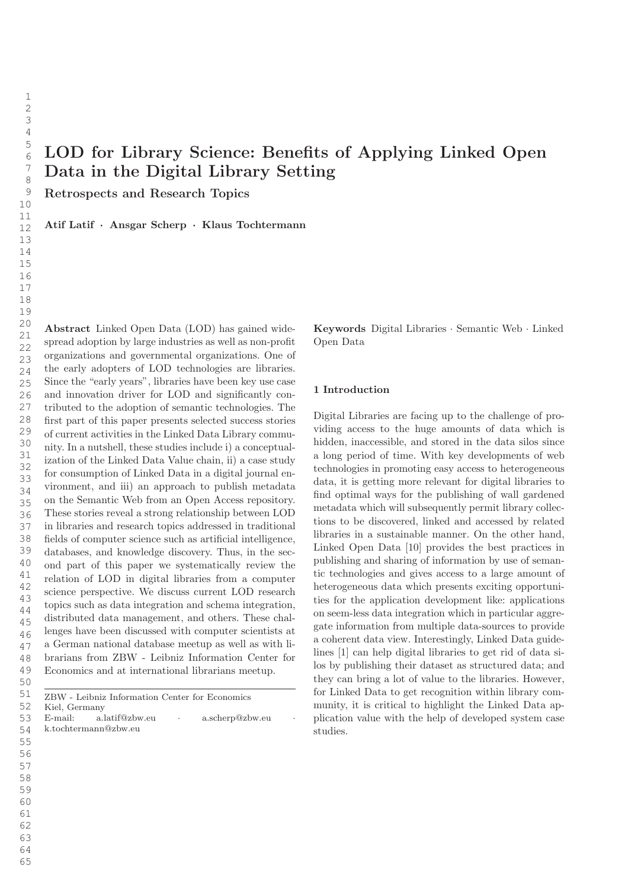### LOD for Library Science: Benefits of Applying Linked Open Data in the Digital Library Setting

Retrospects and Research Topics

Atif Latif · Ansgar Scherp · Klaus Tochtermann

Abstract Linked Open Data (LOD) has gained widespread adoption by large industries as well as non-profit organizations and governmental organizations. One of the early adopters of LOD technologies are libraries. Since the "early years", libraries have been key use case and innovation driver for LOD and significantly contributed to the adoption of semantic technologies. The first part of this paper presents selected success stories of current activities in the Linked Data Library community. In a nutshell, these studies include i) a conceptualization of the Linked Data Value chain, ii) a case study for consumption of Linked Data in a digital journal environment, and iii) an approach to publish metadata on the Semantic Web from an Open Access repository. These stories reveal a strong relationship between LOD in libraries and research topics addressed in traditional fields of computer science such as artificial intelligence, databases, and knowledge discovery. Thus, in the second part of this paper we systematically review the relation of LOD in digital libraries from a computer science perspective. We discuss current LOD research topics such as data integration and schema integration, distributed data management, and others. These challenges have been discussed with computer scientists at a German national database meetup as well as with librarians from ZBW - Leibniz Information Center for Economics and at international librarians meetup.

|  | ZBW - Leibniz Information Center for Economics |  |  |
|--|------------------------------------------------|--|--|
|  |                                                |  |  |

Kiel, Germany

E-mail: a.latif@zbw.eu · a.scherp@zbw.eu · k.tochtermann@zbw.eu

Keywords Digital Libraries · Semantic Web · Linked Open Data

#### 1 Introduction

Digital Libraries are facing up to the challenge of providing access to the huge amounts of data which is hidden, inaccessible, and stored in the data silos since a long period of time. With key developments of web technologies in promoting easy access to heterogeneous data, it is getting more relevant for digital libraries to find optimal ways for the publishing of wall gardened metadata which will subsequently permit library collections to be discovered, linked and accessed by related libraries in a sustainable manner. On the other hand, Linked Open Data [10] provides the best practices in publishing and sharing of information by use of semantic technologies and gives access to a large amount of heterogeneous data which presents exciting opportunities for the application development like: applications on seem-less data integration which in particular aggregate information from multiple data-sources to provide a coherent data view. Interestingly, Linked Data guidelines [1] can help digital libraries to get rid of data silos by publishing their dataset as structured data; and they can bring a lot of value to the libraries. However, for Linked Data to get recognition within library community, it is critical to highlight the Linked Data application value with the help of developed system case studies.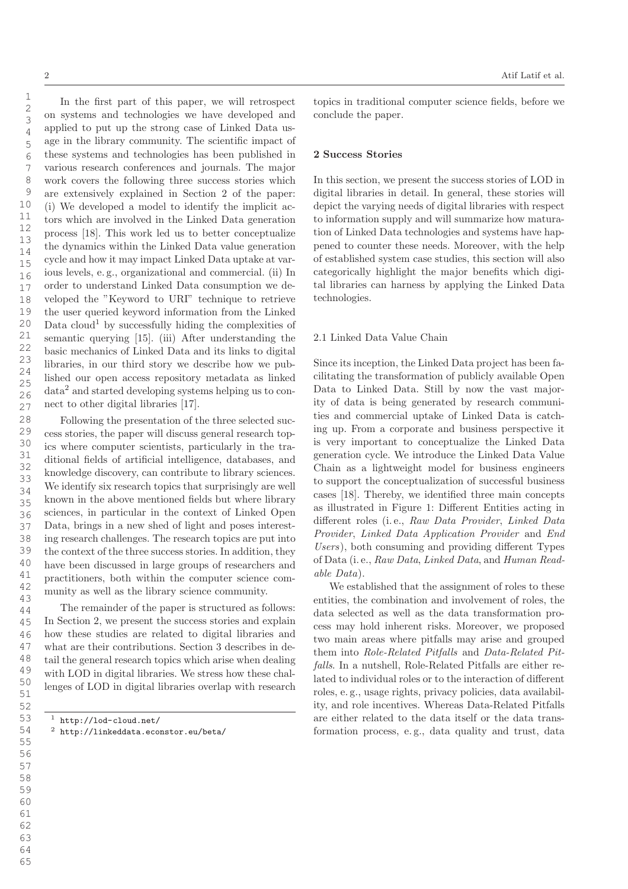In the first part of this paper, we will retrospect on systems and technologies we have developed and applied to put up the strong case of Linked Data usage in the library community. The scientific impact of these systems and technologies has been published in various research conferences and journals. The major work covers the following three success stories which are extensively explained in Section 2 of the paper: (i) We developed a model to identify the implicit actors which are involved in the Linked Data generation process [18]. This work led us to better conceptualize the dynamics within the Linked Data value generation cycle and how it may impact Linked Data uptake at various levels, e. g., organizational and commercial. (ii) In order to understand Linked Data consumption we developed the "Keyword to URI" technique to retrieve the user queried keyword information from the Linked Data cloud<sup>1</sup> by successfully hiding the complexities of semantic querying [15]. (iii) After understanding the basic mechanics of Linked Data and its links to digital libraries, in our third story we describe how we published our open access repository metadata as linked data<sup>2</sup> and started developing systems helping us to connect to other digital libraries [17].

Following the presentation of the three selected success stories, the paper will discuss general research topics where computer scientists, particularly in the traditional fields of artificial intelligence, databases, and knowledge discovery, can contribute to library sciences. We identify six research topics that surprisingly are well known in the above mentioned fields but where library sciences, in particular in the context of Linked Open Data, brings in a new shed of light and poses interesting research challenges. The research topics are put into the context of the three success stories. In addition, they have been discussed in large groups of researchers and practitioners, both within the computer science community as well as the library science community.

The remainder of the paper is structured as follows: In Section 2, we present the success stories and explain how these studies are related to digital libraries and what are their contributions. Section 3 describes in detail the general research topics which arise when dealing with LOD in digital libraries. We stress how these challenges of LOD in digital libraries overlap with research

topics in traditional computer science fields, before we conclude the paper.

#### 2 Success Stories

In this section, we present the success stories of LOD in digital libraries in detail. In general, these stories will depict the varying needs of digital libraries with respect to information supply and will summarize how maturation of Linked Data technologies and systems have happened to counter these needs. Moreover, with the help of established system case studies, this section will also categorically highlight the major benefits which digital libraries can harness by applying the Linked Data technologies.

#### 2.1 Linked Data Value Chain

Since its inception, the Linked Data project has been facilitating the transformation of publicly available Open Data to Linked Data. Still by now the vast majority of data is being generated by research communities and commercial uptake of Linked Data is catching up. From a corporate and business perspective it is very important to conceptualize the Linked Data generation cycle. We introduce the Linked Data Value Chain as a lightweight model for business engineers to support the conceptualization of successful business cases [18]. Thereby, we identified three main concepts as illustrated in Figure 1: Different Entities acting in different roles (i. e., Raw Data Provider, Linked Data Provider, Linked Data Application Provider and End Users), both consuming and providing different Types of Data (i. e., Raw Data, Linked Data, and Human Readable Data).

We established that the assignment of roles to these entities, the combination and involvement of roles, the data selected as well as the data transformation process may hold inherent risks. Moreover, we proposed two main areas where pitfalls may arise and grouped them into Role-Related Pitfalls and Data-Related Pitfalls. In a nutshell, Role-Related Pitfalls are either related to individual roles or to the interaction of different roles, e. g., usage rights, privacy policies, data availability, and role incentives. Whereas Data-Related Pitfalls are either related to the data itself or the data transformation process, e. g., data quality and trust, data

<sup>1</sup> http://lod-cloud.net/

<sup>2</sup> http://linkeddata.econstor.eu/beta/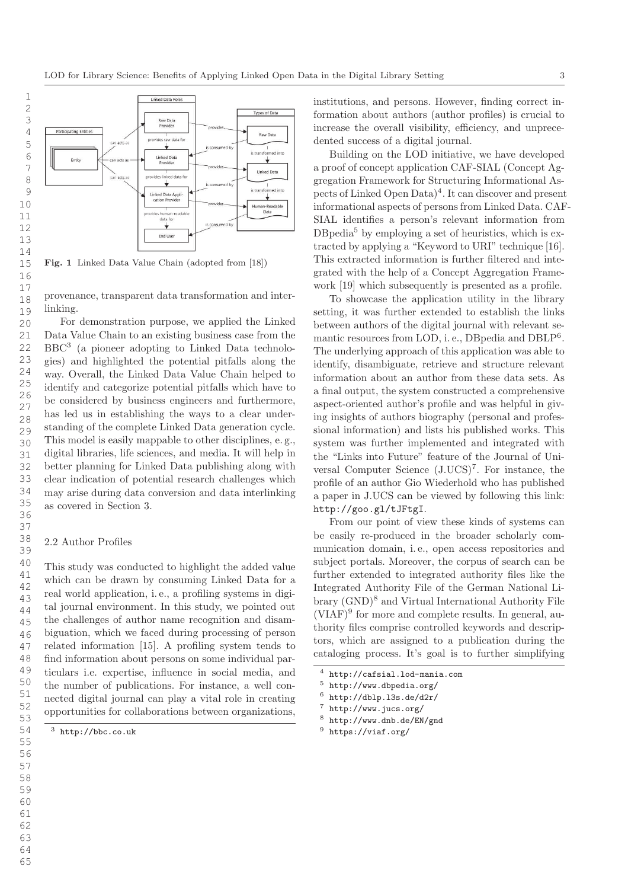

Fig. 1 Linked Data Value Chain (adopted from [18])

provenance, transparent data transformation and interlinking.

For demonstration purpose, we applied the Linked Data Value Chain to an existing business case from the BBC<sup>3</sup> (a pioneer adopting to Linked Data technologies) and highlighted the potential pitfalls along the way. Overall, the Linked Data Value Chain helped to identify and categorize potential pitfalls which have to be considered by business engineers and furthermore, has led us in establishing the ways to a clear understanding of the complete Linked Data generation cycle. This model is easily mappable to other disciplines, e. g., digital libraries, life sciences, and media. It will help in better planning for Linked Data publishing along with clear indication of potential research challenges which may arise during data conversion and data interlinking as covered in Section 3.

#### 2.2 Author Profiles

This study was conducted to highlight the added value which can be drawn by consuming Linked Data for a real world application, i. e., a profiling systems in digital journal environment. In this study, we pointed out the challenges of author name recognition and disambiguation, which we faced during processing of person related information [15]. A profiling system tends to find information about persons on some individual particulars i.e. expertise, influence in social media, and the number of publications. For instance, a well connected digital journal can play a vital role in creating opportunities for collaborations between organizations,

institutions, and persons. However, finding correct information about authors (author profiles) is crucial to increase the overall visibility, efficiency, and unprecedented success of a digital journal.

Building on the LOD initiative, we have developed a proof of concept application CAF-SIAL (Concept Aggregation Framework for Structuring Informational Aspects of Linked Open Data)<sup>4</sup>. It can discover and present informational aspects of persons from Linked Data. CAF-SIAL identifies a person's relevant information from  $DB<sub>p</sub>edia<sup>5</sup>$  by employing a set of heuristics, which is extracted by applying a "Keyword to URI" technique [16]. This extracted information is further filtered and integrated with the help of a Concept Aggregation Framework [19] which subsequently is presented as a profile.

To showcase the application utility in the library setting, it was further extended to establish the links between authors of the digital journal with relevant semantic resources from LOD, i.e., DBpedia and DBLP<sup>6</sup>. The underlying approach of this application was able to identify, disambiguate, retrieve and structure relevant information about an author from these data sets. As a final output, the system constructed a comprehensive aspect-oriented author's profile and was helpful in giving insights of authors biography (personal and professional information) and lists his published works. This system was further implemented and integrated with the "Links into Future" feature of the Journal of Universal Computer Science (J.UCS)<sup>7</sup> . For instance, the profile of an author Gio Wiederhold who has published a paper in J.UCS can be viewed by following this link: http://goo.gl/tJFtgI.

From our point of view these kinds of systems can be easily re-produced in the broader scholarly communication domain, i. e., open access repositories and subject portals. Moreover, the corpus of search can be further extended to integrated authority files like the Integrated Authority File of the German National Library (GND)<sup>8</sup> and Virtual International Authority File  $(VIAF)^9$  for more and complete results. In general, authority files comprise controlled keywords and descriptors, which are assigned to a publication during the cataloging process. It's goal is to further simplifying

<sup>3</sup> http://bbc.co.uk

<sup>4</sup> http://cafsial.lod-mania.com

<sup>5</sup> http://www.dbpedia.org/

 $6$  http://dblp.13s.de/d2r/

<sup>7</sup> http://www.jucs.org/

<sup>8</sup> http://www.dnb.de/EN/gnd

 $9$  https://viaf.org/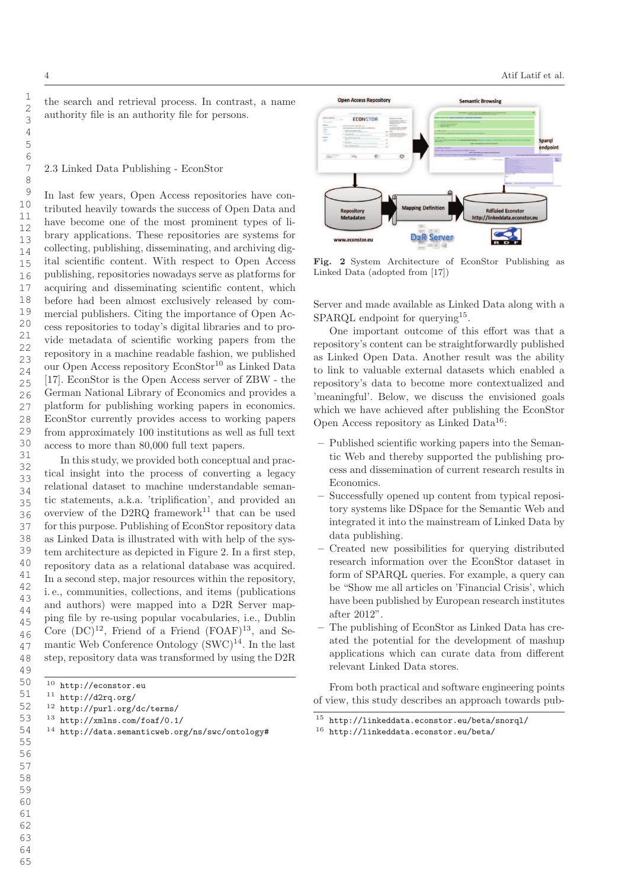1

#### 2.3 Linked Data Publishing - EconStor

In last few years, Open Access repositories have contributed heavily towards the success of Open Data and have become one of the most prominent types of library applications. These repositories are systems for collecting, publishing, disseminating, and archiving digital scientific content. With respect to Open Access publishing, repositories nowadays serve as platforms for acquiring and disseminating scientific content, which before had been almost exclusively released by commercial publishers. Citing the importance of Open Access repositories to today's digital libraries and to provide metadata of scientific working papers from the repository in a machine readable fashion, we published our Open Access repository EconStor<sup>10</sup> as Linked Data [17]. EconStor is the Open Access server of ZBW - the German National Library of Economics and provides a platform for publishing working papers in economics. EconStor currently provides access to working papers from approximately 100 institutions as well as full text access to more than 80,000 full text papers.

In this study, we provided both conceptual and practical insight into the process of converting a legacy relational dataset to machine understandable semantic statements, a.k.a. 'triplification', and provided an overview of the D2RQ framework<sup>11</sup> that can be used for this purpose. Publishing of EconStor repository data as Linked Data is illustrated with with help of the system architecture as depicted in Figure 2. In a first step, repository data as a relational database was acquired. In a second step, major resources within the repository, i. e., communities, collections, and items (publications and authors) were mapped into a D2R Server mapping file by re-using popular vocabularies, i.e., Dublin Core  $(DC)^{12}$ , Friend of a Friend  $(FOAF)^{13}$ , and Semantic Web Conference Ontology  $(SWC)^{14}$ . In the last step, repository data was transformed by using the D2R

- <sup>12</sup> http://purl.org/dc/terms/
- <sup>13</sup> http://xmlns.com/foaf/0.1/
- <sup>14</sup> http://data.semanticweb.org/ns/swc/ontology#



Fig. 2 System Architecture of EconStor Publishing as Linked Data (adopted from [17])

Server and made available as Linked Data along with a SPARQL endpoint for querying<sup>15</sup>.

One important outcome of this effort was that a repository's content can be straightforwardly published as Linked Open Data. Another result was the ability to link to valuable external datasets which enabled a repository's data to become more contextualized and 'meaningful'. Below, we discuss the envisioned goals which we have achieved after publishing the EconStor Open Access repository as Linked Data<sup>16</sup>:

- Published scientific working papers into the Semantic Web and thereby supported the publishing process and dissemination of current research results in Economics.
- Successfully opened up content from typical repository systems like DSpace for the Semantic Web and integrated it into the mainstream of Linked Data by data publishing.
- Created new possibilities for querying distributed research information over the EconStor dataset in form of SPARQL queries. For example, a query can be "Show me all articles on 'Financial Crisis', which have been published by European research institutes after 2012".
- The publishing of EconStor as Linked Data has created the potential for the development of mashup applications which can curate data from different relevant Linked Data stores.

From both practical and software engineering points of view, this study describes an approach towards pub-

<sup>10</sup> http://econstor.eu

 $11$  http://d2rq.org/

<sup>15</sup> http://linkeddata.econstor.eu/beta/snorql/

 $^{16}\,$ http://linkeddata.econstor.eu/beta/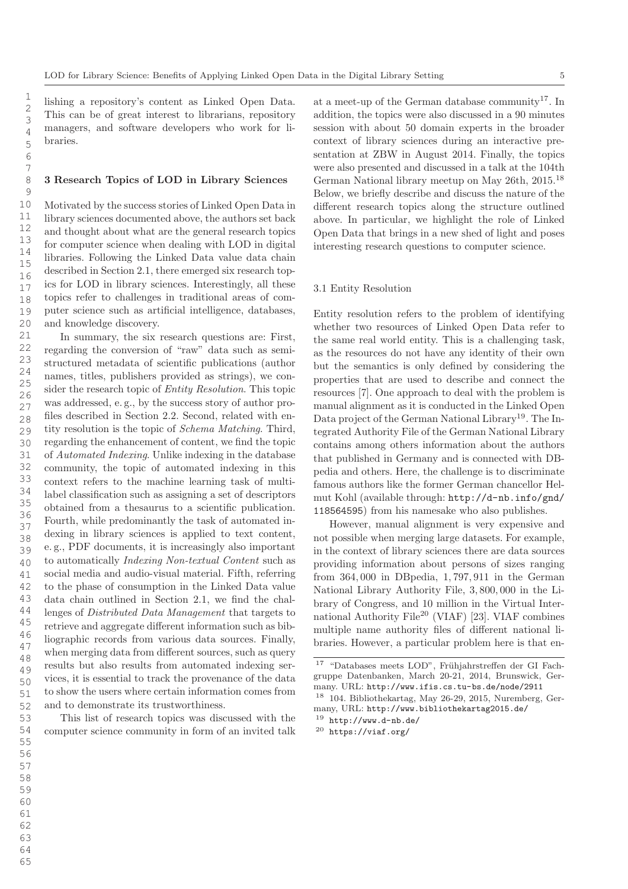lishing a repository's content as Linked Open Data. This can be of great interest to librarians, repository managers, and software developers who work for libraries.

#### 3 Research Topics of LOD in Library Sciences

Motivated by the success stories of Linked Open Data in library sciences documented above, the authors set back and thought about what are the general research topics for computer science when dealing with LOD in digital libraries. Following the Linked Data value data chain described in Section 2.1, there emerged six research topics for LOD in library sciences. Interestingly, all these topics refer to challenges in traditional areas of computer science such as artificial intelligence, databases, and knowledge discovery.

In summary, the six research questions are: First, regarding the conversion of "raw" data such as semistructured metadata of scientific publications (author names, titles, publishers provided as strings), we consider the research topic of Entity Resolution. This topic was addressed, e. g., by the success story of author profiles described in Section 2.2. Second, related with entity resolution is the topic of Schema Matching. Third, regarding the enhancement of content, we find the topic of Automated Indexing. Unlike indexing in the database community, the topic of automated indexing in this context refers to the machine learning task of multilabel classification such as assigning a set of descriptors obtained from a thesaurus to a scientific publication. Fourth, while predominantly the task of automated indexing in library sciences is applied to text content, e. g., PDF documents, it is increasingly also important to automatically Indexing Non-textual Content such as social media and audio-visual material. Fifth, referring to the phase of consumption in the Linked Data value data chain outlined in Section 2.1, we find the challenges of Distributed Data Management that targets to retrieve and aggregate different information such as bibliographic records from various data sources. Finally, when merging data from different sources, such as query results but also results from automated indexing services, it is essential to track the provenance of the data to show the users where certain information comes from and to demonstrate its trustworthiness.

This list of research topics was discussed with the computer science community in form of an invited talk

at a meet-up of the German database community<sup>17</sup>. In addition, the topics were also discussed in a 90 minutes session with about 50 domain experts in the broader context of library sciences during an interactive presentation at ZBW in August 2014. Finally, the topics were also presented and discussed in a talk at the 104th German National library meetup on May 26th, 2015.<sup>18</sup> Below, we briefly describe and discuss the nature of the different research topics along the structure outlined above. In particular, we highlight the role of Linked Open Data that brings in a new shed of light and poses interesting research questions to computer science.

#### 3.1 Entity Resolution

Entity resolution refers to the problem of identifying whether two resources of Linked Open Data refer to the same real world entity. This is a challenging task, as the resources do not have any identity of their own but the semantics is only defined by considering the properties that are used to describe and connect the resources [7]. One approach to deal with the problem is manual alignment as it is conducted in the Linked Open Data project of the German National Library<sup>19</sup>. The Integrated Authority File of the German National Library contains among others information about the authors that published in Germany and is connected with DBpedia and others. Here, the challenge is to discriminate famous authors like the former German chancellor Helmut Kohl (available through: http://d-nb.info/gnd/ 118564595) from his namesake who also publishes.

However, manual alignment is very expensive and not possible when merging large datasets. For example, in the context of library sciences there are data sources providing information about persons of sizes ranging from 364, 000 in DBpedia, 1, 797, 911 in the German National Library Authority File, 3, 800, 000 in the Library of Congress, and 10 million in the Virtual International Authority File<sup>20</sup> (VIAF) [23]. VIAF combines multiple name authority files of different national libraries. However, a particular problem here is that en-

 $^{17}$  "Databases meets LOD", Frühjahrstreffen der GI Fachgruppe Datenbanken, March 20-21, 2014, Brunswick, Germany. URL: http://www.ifis.cs.tu-bs.de/node/2911 <sup>18</sup> 104. Bibliothekartag, May 26-29, 2015, Nuremberg, Germany, URL: http://www.bibliothekartag2015.de/

<sup>19</sup> http://www.d-nb.de/

 $^{20}$  https://viaf.org/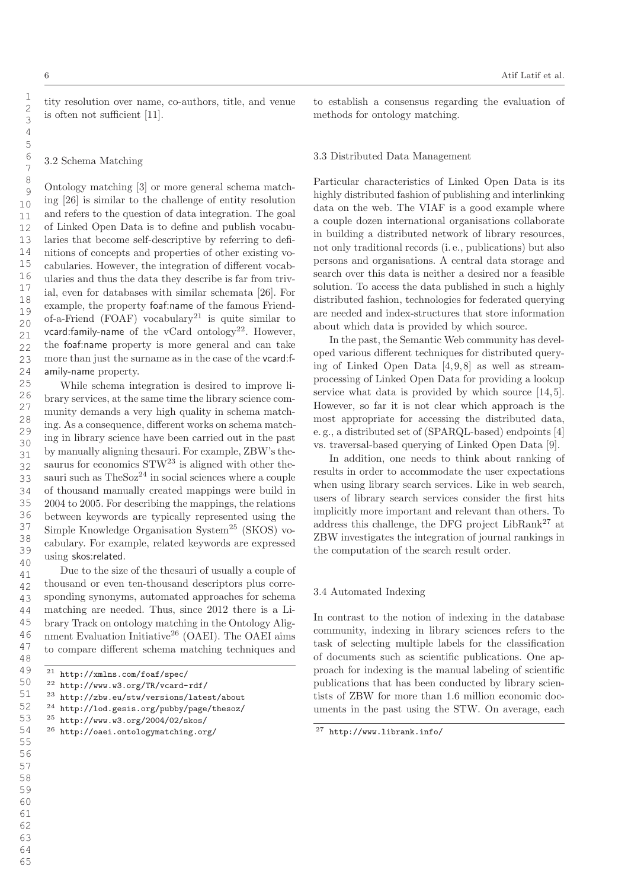tity resolution over name, co-authors, title, and venue is often not sufficient [11].

3.2 Schema Matching

Ontology matching [3] or more general schema matching [26] is similar to the challenge of entity resolution and refers to the question of data integration. The goal of Linked Open Data is to define and publish vocabularies that become self-descriptive by referring to definitions of concepts and properties of other existing vocabularies. However, the integration of different vocabularies and thus the data they describe is far from trivial, even for databases with similar schemata [26]. For example, the property foaf:name of the famous Friendof-a-Friend (FOAF) vocabulary<sup>21</sup> is quite similar to vcard:family-name of the vCard ontology<sup>22</sup>. However, the foaf:name property is more general and can take more than just the surname as in the case of the vcard: family-name property.

While schema integration is desired to improve library services, at the same time the library science community demands a very high quality in schema matching. As a consequence, different works on schema matching in library science have been carried out in the past by manually aligning thesauri. For example, ZBW's thesaurus for economics  $STW^{23}$  is aligned with other thesauri such as  $The Soz^{24}$  in social sciences where a couple of thousand manually created mappings were build in 2004 to 2005. For describing the mappings, the relations between keywords are typically represented using the Simple Knowledge Organisation System<sup>25</sup> (SKOS) vocabulary. For example, related keywords are expressed using skos:related.

Due to the size of the thesauri of usually a couple of thousand or even ten-thousand descriptors plus corresponding synonyms, automated approaches for schema matching are needed. Thus, since 2012 there is a Library Track on ontology matching in the Ontology Alignment Evaluation Initiative<sup>26</sup> (OAEI). The OAEI aims to compare different schema matching techniques and 40 41 42 43 44 45 46 47 48

to establish a consensus regarding the evaluation of methods for ontology matching.

#### 3.3 Distributed Data Management

Particular characteristics of Linked Open Data is its highly distributed fashion of publishing and interlinking data on the web. The VIAF is a good example where a couple dozen international organisations collaborate in building a distributed network of library resources, not only traditional records (i. e., publications) but also persons and organisations. A central data storage and search over this data is neither a desired nor a feasible solution. To access the data published in such a highly distributed fashion, technologies for federated querying are needed and index-structures that store information about which data is provided by which source.

In the past, the Semantic Web community has developed various different techniques for distributed querying of Linked Open Data [4, 9,8] as well as streamprocessing of Linked Open Data for providing a lookup service what data is provided by which source  $[14, 5]$ . However, so far it is not clear which approach is the most appropriate for accessing the distributed data, e. g., a distributed set of (SPARQL-based) endpoints [4] vs. traversal-based querying of Linked Open Data [9].

In addition, one needs to think about ranking of results in order to accommodate the user expectations when using library search services. Like in web search, users of library search services consider the first hits implicitly more important and relevant than others. To address this challenge, the DFG project  $LibRank^{27}$  at ZBW investigates the integration of journal rankings in the computation of the search result order.

#### 3.4 Automated Indexing

In contrast to the notion of indexing in the database community, indexing in library sciences refers to the task of selecting multiple labels for the classification of documents such as scientific publications. One approach for indexing is the manual labeling of scientific publications that has been conducted by library scientists of ZBW for more than 1.6 million economic documents in the past using the STW. On average, each

<sup>21</sup> http://xmlns.com/foaf/spec/ 49 50

<sup>22</sup> http://www.w3.org/TR/vcard-rdf/ 51

<sup>23</sup> http://zbw.eu/stw/versions/latest/about <sup>24</sup> http://lod.gesis.org/pubby/page/thesoz/ 52

<sup>25</sup> http://www.w3.org/2004/02/skos/ 53

<sup>26</sup> http://oaei.ontologymatching.org/

<sup>54</sup> 55

<sup>27</sup> http://www.librank.info/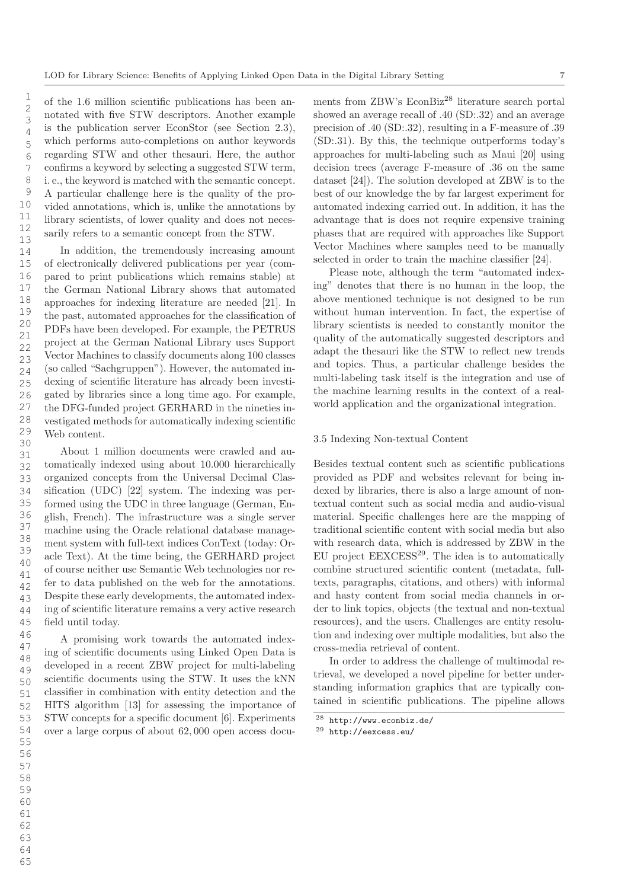of the 1.6 million scientific publications has been annotated with five STW descriptors. Another example is the publication server EconStor (see Section 2.3), which performs auto-completions on author keywords regarding STW and other thesauri. Here, the author confirms a keyword by selecting a suggested STW term, i. e., the keyword is matched with the semantic concept. A particular challenge here is the quality of the provided annotations, which is, unlike the annotations by library scientists, of lower quality and does not necessarily refers to a semantic concept from the STW.

In addition, the tremendously increasing amount of electronically delivered publications per year (compared to print publications which remains stable) at the German National Library shows that automated approaches for indexing literature are needed [21]. In the past, automated approaches for the classification of PDFs have been developed. For example, the PETRUS project at the German National Library uses Support Vector Machines to classify documents along 100 classes (so called "Sachgruppen"). However, the automated indexing of scientific literature has already been investigated by libraries since a long time ago. For example, the DFG-funded project GERHARD in the nineties investigated methods for automatically indexing scientific Web content.

About 1 million documents were crawled and automatically indexed using about 10.000 hierarchically organized concepts from the Universal Decimal Classification (UDC) [22] system. The indexing was performed using the UDC in three language (German, English, French). The infrastructure was a single server machine using the Oracle relational database management system with full-text indices ConText (today: Oracle Text). At the time being, the GERHARD project of course neither use Semantic Web technologies nor refer to data published on the web for the annotations. Despite these early developments, the automated indexing of scientific literature remains a very active research field until today.

A promising work towards the automated indexing of scientific documents using Linked Open Data is developed in a recent ZBW project for multi-labeling scientific documents using the STW. It uses the kNN classifier in combination with entity detection and the HITS algorithm [13] for assessing the importance of STW concepts for a specific document [6]. Experiments over a large corpus of about 62, 000 open access documents from ZBW's EconBiz<sup>28</sup> literature search portal showed an average recall of .40 (SD:.32) and an average precision of .40 (SD:.32), resulting in a F-measure of .39 (SD:.31). By this, the technique outperforms today's approaches for multi-labeling such as Maui [20] using decision trees (average F-measure of .36 on the same dataset [24]). The solution developed at ZBW is to the best of our knowledge the by far largest experiment for automated indexing carried out. In addition, it has the advantage that is does not require expensive training phases that are required with approaches like Support Vector Machines where samples need to be manually selected in order to train the machine classifier [24].

Please note, although the term "automated indexing" denotes that there is no human in the loop, the above mentioned technique is not designed to be run without human intervention. In fact, the expertise of library scientists is needed to constantly monitor the quality of the automatically suggested descriptors and adapt the thesauri like the STW to reflect new trends and topics. Thus, a particular challenge besides the multi-labeling task itself is the integration and use of the machine learning results in the context of a realworld application and the organizational integration.

#### 3.5 Indexing Non-textual Content

Besides textual content such as scientific publications provided as PDF and websites relevant for being indexed by libraries, there is also a large amount of nontextual content such as social media and audio-visual material. Specific challenges here are the mapping of traditional scientific content with social media but also with research data, which is addressed by ZBW in the EU project  $EEXCESS<sup>29</sup>$ . The idea is to automatically combine structured scientific content (metadata, fulltexts, paragraphs, citations, and others) with informal and hasty content from social media channels in order to link topics, objects (the textual and non-textual resources), and the users. Challenges are entity resolution and indexing over multiple modalities, but also the cross-media retrieval of content.

In order to address the challenge of multimodal retrieval, we developed a novel pipeline for better understanding information graphics that are typically contained in scientific publications. The pipeline allows

<sup>28</sup> http://www.econbiz.de/

<sup>29</sup> http://eexcess.eu/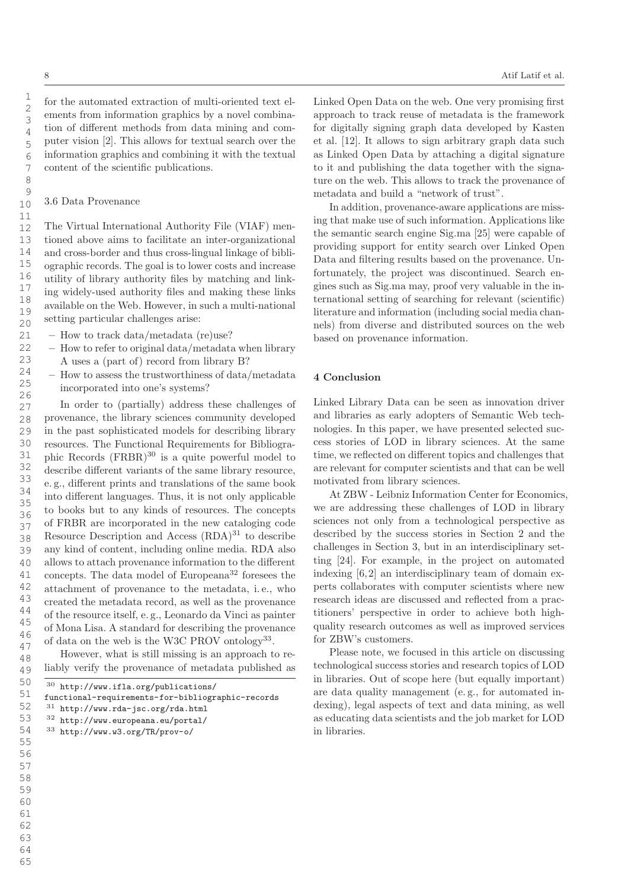for the automated extraction of multi-oriented text elements from information graphics by a novel combination of different methods from data mining and computer vision [2]. This allows for textual search over the information graphics and combining it with the textual content of the scientific publications.

#### 3.6 Data Provenance

The Virtual International Authority File (VIAF) mentioned above aims to facilitate an inter-organizational and cross-border and thus cross-lingual linkage of bibliographic records. The goal is to lower costs and increase utility of library authority files by matching and linking widely-used authority files and making these links available on the Web. However, in such a multi-national setting particular challenges arise:

- How to track data/metadata (re)use?
- How to refer to original data/metadata when library A uses a (part of) record from library B?
- How to assess the trustworthiness of data/metadata incorporated into one's systems?

In order to (partially) address these challenges of provenance, the library sciences community developed in the past sophisticated models for describing library resources. The Functional Requirements for Bibliographic Records  $(FRBR)^{30}$  is a quite powerful model to describe different variants of the same library resource, e. g., different prints and translations of the same book into different languages. Thus, it is not only applicable to books but to any kinds of resources. The concepts of FRBR are incorporated in the new cataloging code Resource Description and Access  $(RDA)^{31}$  to describe any kind of content, including online media. RDA also allows to attach provenance information to the different concepts. The data model of Europeana<sup>32</sup> foresees the attachment of provenance to the metadata, i. e., who created the metadata record, as well as the provenance of the resource itself, e. g., Leonardo da Vinci as painter of Mona Lisa. A standard for describing the provenance of data on the web is the W3C PROV ontology<sup>33</sup>.

However, what is still missing is an approach to reliably verify the provenance of metadata published as

<sup>30</sup> http://www.ifla.org/publications/

```
functional-requirements-for-bibliographic-records
```

```
31 http://www.rda-jsc.org/rda.html
```

```
32 http://www.europeana.eu/portal/
```
<sup>33</sup> http://www.w3.org/TR/prov-o/

Linked Open Data on the web. One very promising first approach to track reuse of metadata is the framework for digitally signing graph data developed by Kasten et al. [12]. It allows to sign arbitrary graph data such as Linked Open Data by attaching a digital signature to it and publishing the data together with the signature on the web. This allows to track the provenance of metadata and build a "network of trust".

In addition, provenance-aware applications are missing that make use of such information. Applications like the semantic search engine Sig.ma [25] were capable of providing support for entity search over Linked Open Data and filtering results based on the provenance. Unfortunately, the project was discontinued. Search engines such as Sig.ma may, proof very valuable in the international setting of searching for relevant (scientific) literature and information (including social media channels) from diverse and distributed sources on the web based on provenance information.

#### 4 Conclusion

Linked Library Data can be seen as innovation driver and libraries as early adopters of Semantic Web technologies. In this paper, we have presented selected success stories of LOD in library sciences. At the same time, we reflected on different topics and challenges that are relevant for computer scientists and that can be well motivated from library sciences.

At ZBW - Leibniz Information Center for Economics, we are addressing these challenges of LOD in library sciences not only from a technological perspective as described by the success stories in Section 2 and the challenges in Section 3, but in an interdisciplinary setting [24]. For example, in the project on automated indexing [6, 2] an interdisciplinary team of domain experts collaborates with computer scientists where new research ideas are discussed and reflected from a practitioners' perspective in order to achieve both highquality research outcomes as well as improved services for ZBW's customers.

Please note, we focused in this article on discussing technological success stories and research topics of LOD in libraries. Out of scope here (but equally important) are data quality management (e. g., for automated indexing), legal aspects of text and data mining, as well as educating data scientists and the job market for LOD in libraries.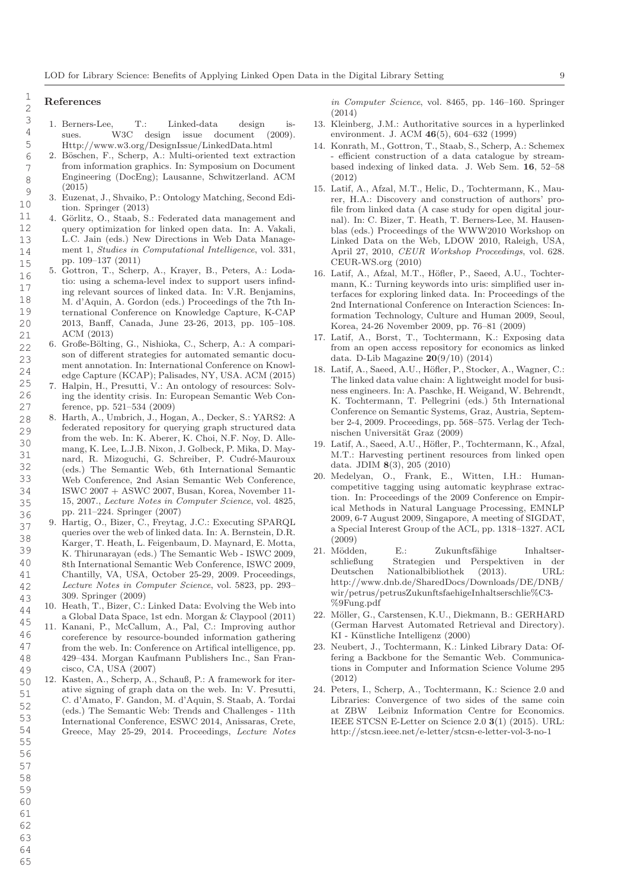#### References

- 1. Berners-Lee, T.: Linked-data design issues. W3C design issue document (2009). Http://www.w3.org/DesignIssue/LinkedData.html
- 2. Böschen, F., Scherp, A.: Multi-oriented text extraction from information graphics. In: Symposium on Document Engineering (DocEng); Lausanne, Schwitzerland. ACM (2015)
- 3. Euzenat, J., Shvaiko, P.: Ontology Matching, Second Edition. Springer (2013)
- 4. Görlitz, O., Staab, S.: Federated data management and query optimization for linked open data. In: A. Vakali, L.C. Jain (eds.) New Directions in Web Data Management 1, Studies in Computational Intelligence, vol. 331, pp. 109–137 (2011)
- 5. Gottron, T., Scherp, A., Krayer, B., Peters, A.: Lodatio: using a schema-level index to support users infinding relevant sources of linked data. In: V.R. Benjamins, M. d'Aquin, A. Gordon (eds.) Proceedings of the 7th International Conference on Knowledge Capture, K-CAP 2013, Banff, Canada, June 23-26, 2013, pp. 105–108. ACM (2013)
- 6. Große-Bölting, G., Nishioka, C., Scherp, A.: A comparison of different strategies for automated semantic document annotation. In: International Conference on Knowledge Capture (KCAP); Palisades, NY, USA. ACM (2015)
- 7. Halpin, H., Presutti, V.: An ontology of resources: Solving the identity crisis. In: European Semantic Web Conference, pp. 521–534 (2009)
- 8. Harth, A., Umbrich, J., Hogan, A., Decker, S.: YARS2: A federated repository for querying graph structured data from the web. In: K. Aberer, K. Choi, N.F. Noy, D. Allemang, K. Lee, L.J.B. Nixon, J. Golbeck, P. Mika, D. Maynard, R. Mizoguchi, G. Schreiber, P. Cudré-Mauroux (eds.) The Semantic Web, 6th International Semantic Web Conference, 2nd Asian Semantic Web Conference, ISWC 2007 + ASWC 2007, Busan, Korea, November 11- 15, 2007., Lecture Notes in Computer Science, vol. 4825, pp. 211–224. Springer (2007) 27 28 29 30 31 32 33 34 35
- 9. Hartig, O., Bizer, C., Freytag, J.C.: Executing SPARQL queries over the web of linked data. In: A. Bernstein, D.R. Karger, T. Heath, L. Feigenbaum, D. Maynard, E. Motta, K. Thirunarayan (eds.) The Semantic Web - ISWC 2009, 8th International Semantic Web Conference, ISWC 2009, Chantilly, VA, USA, October 25-29, 2009. Proceedings, Lecture Notes in Computer Science, vol. 5823, pp. 293– 309. Springer (2009) 36 37 38 39 40 41 42 43
- 10. Heath, T., Bizer, C.: Linked Data: Evolving the Web into a Global Data Space, 1st edn. Morgan & Claypool (2011) 44
- 11. Kanani, P., McCallum, A., Pal, C.: Improving author coreference by resource-bounded information gathering from the web. In: Conference on Artifical intelligence, pp. 429–434. Morgan Kaufmann Publishers Inc., San Francisco, CA, USA (2007) 45 46 47 48 49
- 12. Kasten, A., Scherp, A., Schauß, P.: A framework for iterative signing of graph data on the web. In: V. Presutti, C. d'Amato, F. Gandon, M. d'Aquin, S. Staab, A. Tordai (eds.) The Semantic Web: Trends and Challenges - 11th International Conference, ESWC 2014, Anissaras, Crete, Greece, May 25-29, 2014. Proceedings, Lecture Notes 50 51 52 53 54 55

in Computer Science, vol. 8465, pp. 146–160. Springer (2014)

- 13. Kleinberg, J.M.: Authoritative sources in a hyperlinked environment. J. ACM 46(5), 604–632 (1999)
- 14. Konrath, M., Gottron, T., Staab, S., Scherp, A.: Schemex efficient construction of a data catalogue by streambased indexing of linked data. J. Web Sem. 16, 52–58 (2012)
- 15. Latif, A., Afzal, M.T., Helic, D., Tochtermann, K., Maurer, H.A.: Discovery and construction of authors' profile from linked data (A case study for open digital journal). In: C. Bizer, T. Heath, T. Berners-Lee, M. Hausenblas (eds.) Proceedings of the WWW2010 Workshop on Linked Data on the Web, LDOW 2010, Raleigh, USA, April 27, 2010, CEUR Workshop Proceedings, vol. 628. CEUR-WS.org (2010)
- 16. Latif, A., Afzal, M.T., Höfler, P., Saeed, A.U., Tochtermann, K.: Turning keywords into uris: simplified user interfaces for exploring linked data. In: Proceedings of the 2nd International Conference on Interaction Sciences: Information Technology, Culture and Human 2009, Seoul, Korea, 24-26 November 2009, pp. 76–81 (2009)
- 17. Latif, A., Borst, T., Tochtermann, K.: Exposing data from an open access repository for economics as linked data. D-Lib Magazine  $20(9/10)$  (2014)
- 18. Latif, A., Saeed, A.U., Höfler, P., Stocker, A., Wagner, C.: The linked data value chain: A lightweight model for business engineers. In: A. Paschke, H. Weigand, W. Behrendt, K. Tochtermann, T. Pellegrini (eds.) 5th International Conference on Semantic Systems, Graz, Austria, September 2-4, 2009. Proceedings, pp. 568–575. Verlag der Technischen Universität Graz (2009)
- 19. Latif, A., Saeed, A.U., Höfler, P., Tochtermann, K., Afzal, M.T.: Harvesting pertinent resources from linked open data. JDIM 8(3), 205 (2010)
- 20. Medelyan, O., Frank, E., Witten, I.H.: Humancompetitive tagging using automatic keyphrase extraction. In: Proceedings of the 2009 Conference on Empirical Methods in Natural Language Processing, EMNLP 2009, 6-7 August 2009, Singapore, A meeting of SIGDAT, a Special Interest Group of the ACL, pp. 1318–1327. ACL (2009)
- 21. Mödden, E.: Zukunftsfähige Inhaltserschließung Strategien und Perspektiven in der Nationalbibliothek (2013). URL: http://www.dnb.de/SharedDocs/Downloads/DE/DNB/ wir/petrus/petrusZukunftsfaehigeInhaltserschlie%C3- %9Fung.pdf
- 22. Möller, G., Carstensen, K.U., Diekmann, B.: GERHARD (German Harvest Automated Retrieval and Directory). KI - Künstliche Intelligenz (2000)
- 23. Neubert, J., Tochtermann, K.: Linked Library Data: Offering a Backbone for the Semantic Web. Communications in Computer and Information Science Volume 295 (2012)
- 24. Peters, I., Scherp, A., Tochtermann, K.: Science 2.0 and Libraries: Convergence of two sides of the same coin at ZBW Leibniz Information Centre for Economics. IEEE STCSN E-Letter on Science 2.0 3(1) (2015). URL: http://stcsn.ieee.net/e-letter/stcsn-e-letter-vol-3-no-1